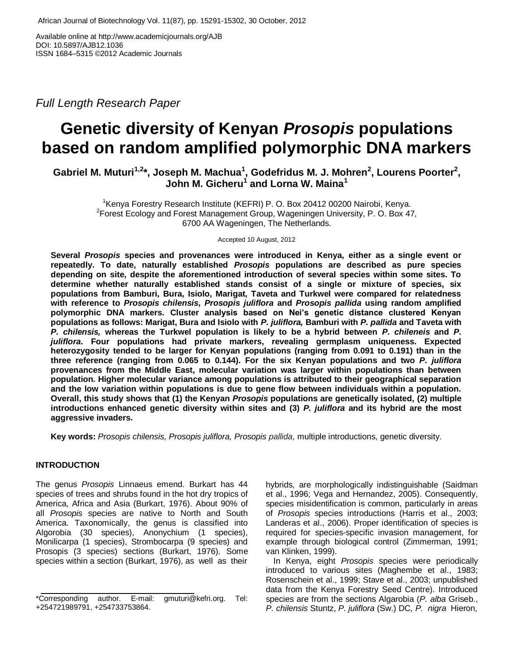Available online at http://www.academicjournals.org/AJB DOI: 10.5897/AJB12.1036 ISSN 1684–5315 ©2012 Academic Journals

*Full Length Research Paper* 

# **Genetic diversity of Kenyan** *Prosopis* **populations based on random amplified polymorphic DNA markers**

Gabriel M. Muturi<sup>1,2\*</sup>, Joseph M. Machua<sup>1</sup>, Godefridus M. J. Mohren<sup>2</sup>, Lourens Poorter<sup>2</sup>, **John M. Gicheru<sup>1</sup> and Lorna W. Maina<sup>1</sup>**

<sup>1</sup>Kenya Forestry Research Institute (KEFRI) P. O. Box 20412 00200 Nairobi, Kenya.  $2$ Forest Ecology and Forest Management Group, Wageningen University, P. O. Box 47, 6700 AA Wageningen, The Netherlands.

Accepted 10 August, 2012

**Several** *Prosopis* **species and provenances were introduced in Kenya, either as a single event or repeatedly. To date, naturally established** *Prosopis* **populations are described as pure species depending on site, despite the aforementioned introduction of several species within some sites. To determine whether naturally established stands consist of a single or mixture of species, six populations from Bamburi, Bura, Isiolo, Marigat, Taveta and Turkwel were compared for relatedness with reference to** *Prosopis chilensis***,** *Prosopis juliflora* **and** *Prosopis pallida* **using random amplified polymorphic DNA markers. Cluster analysis based on Nei's genetic distance clustered Kenyan populations as follows: Marigat, Bura and Isiolo with** *P. juliflora,* **Bamburi with** *P. pallida* **and Taveta with**  *P. chilensis,* **whereas the Turkwel population is likely to be a hybrid between** *P. chileneis* **and** *P. juliflora***. Four populations had private markers, revealing germplasm uniqueness. Expected heterozygosity tended to be larger for Kenyan populations (ranging from 0.091 to 0.191) than in the three reference (ranging from 0.065 to 0.144). For the six Kenyan populations and two** *P. juliflora* **provenances from the Middle East, molecular variation was larger within populations than between population. Higher molecular variance among populations is attributed to their geographical separation and the low variation within populations is due to gene flow between individuals within a population. Overall, this study shows that (1) the Kenyan** *Prosopis* **populations are genetically isolated, (2) multiple introductions enhanced genetic diversity within sites and (3)** *P. juliflora* **and its hybrid are the most aggressive invaders.** 

**Key words:** *Prosopis chilensis, Prosopis juliflora, Prosopis pallida*, multiple introductions, genetic diversity.

## **INTRODUCTION**

The genus *Prosopis* Linnaeus emend. Burkart has 44 species of trees and shrubs found in the hot dry tropics of America, Africa and Asia (Burkart, 1976). About 90% of all *Prosopis* species are native to North and South America. Taxonomically, the genus is classified into Algorobia (30 species), Anonychium (1 species), Monilicarpa (1 species), Strombocarpa (9 species) and Prosopis (3 species) sections (Burkart, 1976). Some species within a section (Burkart, 1976), as well as their hybrids, are morphologically indistinguishable (Saidman et al., 1996; Vega and Hernandez, 2005). Consequently, species misidentification is common, particularly in areas of *Prosopis* species introductions (Harris et al., 2003; Landeras et al., 2006). Proper identification of species is required for species-specific invasion management, for example through biological control (Zimmerman, 1991; van Klinken, 1999).

In Kenya, eight *Prosopis* species were periodically introduced to various sites (Maghembe et al., 1983; Rosenschein et al., 1999; Stave et al., 2003; unpublished data from the Kenya Forestry Seed Centre). Introduced species are from the sections Algarobia (*P. alba* Griseb., *P. chilensis* Stuntz, *P. juliflora* (Sw.) DC*, P. nigra* Hieron,

<sup>\*</sup>Corresponding author. E-mail: gmuturi@kefri.org. Tel: +254721989791, +254733753864.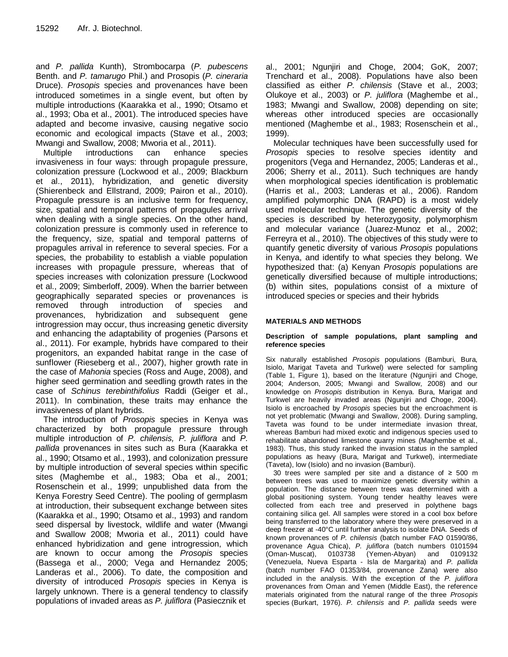and *P. pallida* Kunth), Strombocarpa (*P. pubescens*  Benth. and *P. tamarugo* Phil.) and Prosopis (*P. cineraria*  Druce). *Prosopis* species and provenances have been introduced sometimes in a single event, but often by multiple introductions (Kaarakka et al., 1990; Otsamo et al., 1993; Oba et al., 2001). The introduced species have adapted and become invasive, causing negative socio economic and ecological impacts (Stave et al., 2003; Mwangi and Swallow, 2008; Mworia et al., 2011).

Multiple introductions can enhance species invasiveness in four ways: through propagule pressure, colonization pressure (Lockwood et al., 2009; Blackburn et al., 2011), hybridization, and genetic diversity (Shierenbeck and Ellstrand, 2009; Pairon et al., 2010). Propagule pressure is an inclusive term for frequency, size, spatial and temporal patterns of propagules arrival when dealing with a single species. On the other hand, colonization pressure is commonly used in reference to the frequency, size, spatial and temporal patterns of propagules arrival in reference to several species. For a species, the probability to establish a viable population increases with propagule pressure, whereas that of species increases with colonization pressure (Lockwood et al., 2009; Simberloff, 2009). When the barrier between geographically separated species or provenances is removed through introduction of species and provenances, hybridization and subsequent gene introgression may occur, thus increasing genetic diversity and enhancing the adaptability of progenies (Parsons et al., 2011). For example, hybrids have compared to their progenitors, an expanded habitat range in the case of sunflower (Rieseberg et al., 2007), higher growth rate in the case of *Mahonia* species (Ross and Auge, 2008), and higher seed germination and seedling growth rates in the case of *Schinus terebinthifolius* Raddi (Geiger et al., 2011). In combination, these traits may enhance the invasiveness of plant hybrids.

The introduction of *Prosopis* species in Kenya was characterized by both propagule pressure through multiple introduction of *P. chilensis, P. juliflora* and *P. pallida* provenances in sites such as Bura (Kaarakka et al., 1990; Otsamo et al., 1993), and colonization pressure by multiple introduction of several species within specific sites (Maghembe et al., 1983; Oba et al., 2001; Rosenschein et al., 1999; unpublished data from the Kenya Forestry Seed Centre). The pooling of germplasm at introduction, their subsequent exchange between sites (Kaarakka et al., 1990; Otsamo et al., 1993) and random seed dispersal by livestock, wildlife and water (Mwangi and Swallow 2008; Mworia et al., 2011) could have enhanced hybridization and gene introgression, which are known to occur among the *Prosopis* species (Bassega et al., 2000; Vega and Hernandez 2005; Landeras et al., 2006). To date, the composition and diversity of introduced *Prosopis* species in Kenya is largely unknown. There is a general tendency to classify populations of invaded areas as *P. juliflora* (Pasiecznik et

al., 2001; Ngunjiri and Choge, 2004; GoK, 2007; Trenchard et al., 2008). Populations have also been classified as either *P. chilensis* (Stave et al., 2003; Olukoye et al., 2003) or *P. juliflora* (Maghembe et al., 1983; Mwangi and Swallow, 2008) depending on site; whereas other introduced species are occasionally mentioned (Maghembe et al., 1983; Rosenschein et al., 1999).

Molecular techniques have been successfully used for *Prosopis* species to resolve species identity and progenitors (Vega and Hernandez, 2005; Landeras et al., 2006; Sherry et al., 2011). Such techniques are handy when morphological species identification is problematic (Harris et al., 2003; Landeras et al., 2006). Random amplified polymorphic DNA (RAPD) is a most widely used molecular technique. The genetic diversity of the species is described by heterozygosity, polymorphism and molecular variance (Juarez-Munoz et al., 2002; Ferreyra et al., 2010). The objectives of this study were to quantify genetic diversity of various *Prosopis* populations in Kenya, and identify to what species they belong. We hypothesized that: (a) Kenyan *Prosopis* populations are genetically diversified because of multiple introductions; (b) within sites, populations consist of a mixture of introduced species or species and their hybrids

## **MATERIALS AND METHODS**

## **Description of sample populations, plant sampling and reference species**

Six naturally established *Prosopis* populations (Bamburi, Bura, Isiolo, Marigat Taveta and Turkwel) were selected for sampling (Table 1, Figure 1), based on the literature (Ngunjiri and Choge, 2004; Anderson, 2005; Mwangi and Swallow, 2008) and our knowledge on *Prosopis* distribution in Kenya. Bura, Marigat and Turkwel are heavily invaded areas (Ngunjiri and Choge, 2004). Isiolo is encroached by *Prosopis* species but the encroachment is not yet problematic (Mwangi and Swallow, 2008). During sampling, Taveta was found to be under intermediate invasion threat, whereas Bamburi had mixed exotic and indigenous species used to rehabilitate abandoned limestone quarry mines (Maghembe et al., 1983). Thus, this study ranked the invasion status in the sampled populations as heavy (Bura, Marigat and Turkwel), intermediate (Taveta), low (Isiolo) and no invasion (Bamburi).

30 trees were sampled per site and a distance of ≥ 500 m between trees was used to maximize genetic diversity within a population. The distance between trees was determined with a global positioning system. Young tender healthy leaves were collected from each tree and preserved in polythene bags containing silica gel. All samples were stored in a cool box before being transferred to the laboratory where they were preserved in a deep freezer at -40°C until further analysis to isolate DNA. Seeds of known provenances of *P. chilensis* (batch number FAO 01590/86, provenance Agua Chica), *P. juliflora* (batch numbers 0101594 (Oman-Muscat), 0103738 (Yemen-Abyan) and 0109132 (Venezuela, Nueva Esparta - Isla de Margarita) and *P. pallida* (batch number FAO 01353/84, provenance Zana) were also included in the analysis. With the exception of the *P. juliflora* provenances from Oman and Yemen (Middle East), the reference materials originated from the natural range of the three *Prosopis* species (Burkart, 1976). *P. chilensis* and *P. pallida* seeds were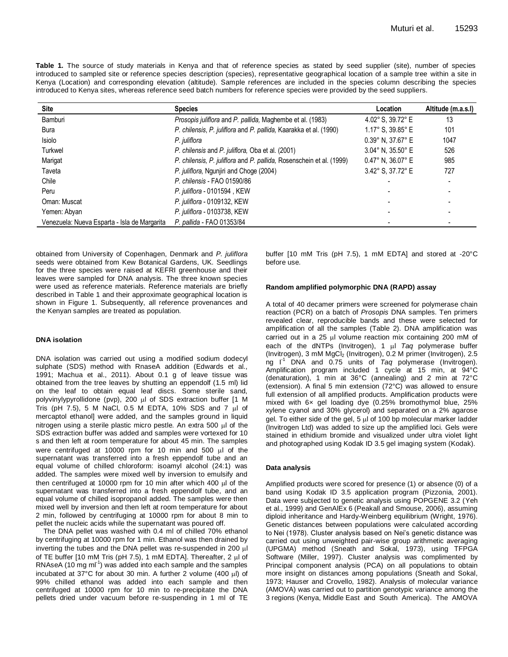**Table 1.** The source of study materials in Kenya and that of reference species as stated by seed supplier (site), number of species introduced to sampled site or reference species description (species), representative geographical location of a sample tree within a site in Kenya (Location) and corresponding elevation (altitude). Sample references are included in the species column describing the species introduced to Kenya sites, whereas reference seed batch numbers for reference species were provided by the seed suppliers.

| Site                                         | <b>Species</b>                                                       | Location                             | Altitude (m.a.s.l) |
|----------------------------------------------|----------------------------------------------------------------------|--------------------------------------|--------------------|
| Bamburi                                      | Prosopis juliflora and P. pallida, Maghembe et al. (1983)            | 4.02° S, 39.72° E                    | 13                 |
| Bura                                         | P. chilensis, P. juliflora and P. pallida, Kaarakka et al. (1990)    | 1.17° S, 39.85° E                    | 101                |
| Isiolo                                       | P. juliflora                                                         | $0.39^{\circ}$ N, 37.67 $^{\circ}$ E | 1047               |
| Turkwel                                      | P. chilensis and P. juliflora, Oba et al. (2001)                     | $3.04^{\circ}$ N, $35.50^{\circ}$ E  | 526                |
| Marigat                                      | P. chilensis, P. juliflora and P. pallida, Rosenschein et al. (1999) | $0.47^{\circ}$ N, 36.07° E           | 985                |
| Taveta                                       | P. juliflora, Ngunjiri and Choge (2004)                              | 3.42° S. 37.72° E                    | 727                |
| Chile                                        | P. chilensis - FAO 01590/86                                          |                                      |                    |
| Peru                                         | P. juliflora - 0101594, KEW                                          |                                      |                    |
| Oman: Muscat                                 | P. juliflora - 0109132, KEW                                          |                                      |                    |
| Yemen: Abyan                                 | P. juliflora - 0103738, KEW                                          |                                      |                    |
| Venezuela: Nueva Esparta - Isla de Margarita | P. pallida - FAO 01353/84                                            |                                      |                    |

obtained from University of Copenhagen, Denmark and *P. juliflora* seeds were obtained from Kew Botanical Gardens, UK. Seedlings for the three species were raised at KEFRI greenhouse and their leaves were sampled for DNA analysis. The three known species were used as reference materials. Reference materials are briefly described in Table 1 and their approximate geographical location is shown in Figure 1. Subsequently, all reference provenances and the Kenyan samples are treated as population.

#### **DNA isolation**

DNA isolation was carried out using a modified sodium dodecyl sulphate (SDS) method with RnaseA addition (Edwards et al., 1991; Machua et al., 2011). About 0.1 g of leave tissue was obtained from the tree leaves by shutting an eppendolf (1.5 ml) lid on the leaf to obtain equal leaf discs. Some sterile sand, polyvinylypyrollidone (pvp), 200 µl of SDS extraction buffer [1 M Tris (pH  $7.5$ ), 5 M NaCl, 0.5 M EDTA, 10% SDS and  $7 \mu$  of mercaptol ethanol] were added, and the samples ground in liquid nitrogen using a sterile plastic micro pestle. An extra 500  $\mu$  of the SDS extraction buffer was added and samples were vortexed for 10 s and then left at room temperature for about 45 min. The samples were centrifuged at 10000 rpm for 10 min and 500  $\mu$  of the supernatant was transferred into a fresh eppendolf tube and an equal volume of chilled chloroform: isoamyl alcohol (24:1) was added. The samples were mixed well by inversion to emulsify and then centrifuged at 10000 rpm for 10 min after which 400  $\mu$ l of the supernatant was transferred into a fresh eppendolf tube, and an equal volume of chilled isopropanol added. The samples were then mixed well by inversion and then left at room temperature for about 2 min, followed by centrifuging at 10000 rpm for about 8 min to pellet the nucleic acids while the supernatant was poured off.

The DNA pellet was washed with 0.4 ml of chilled 70% ethanol by centrifuging at 10000 rpm for 1 min. Ethanol was then drained by inverting the tubes and the DNA pellet was re-suspended in 200 µl of TE buffer [10 mM Tris (pH 7.5), 1 mM EDTA]. Thereafter, 2 µl of  $RNAseA (10 mg ml<sup>-1</sup>)$  was added into each sample and the samples incubated at  $37^{\circ}$ C for about 30 min. A further 2 volume (400  $\mu$ l) of 99% chilled ethanol was added into each sample and then centrifuged at 10000 rpm for 10 min to re-precipitate the DNA pellets dried under vacuum before re-suspending in 1 ml of TE buffer [10 mM Tris (pH 7.5), 1 mM EDTA] and stored at -20°C before use.

#### **Random amplified polymorphic DNA (RAPD) assay**

A total of 40 decamer primers were screened for polymerase chain reaction (PCR) on a batch of *Prosopis* DNA samples. Ten primers revealed clear, reproducible bands and these were selected for amplification of all the samples (Table 2). DNA amplification was carried out in a 25  $\mu$  volume reaction mix containing 200 mM of each of the dNTPs (Invitrogen), 1 ul Taq polymerase buffer (Invitrogen), 3 mM MgCl<sub>2</sub> (Invitrogen), 0.2 M primer (Invitrogen), 2.5 ng I<sup>1</sup> DNA and 0.75 units of *Taq* polymerase (Invitrogen). Amplification program included 1 cycle at 15 min, at 94°C (denaturation), 1 min at 36°C (annealing) and 2 min at 72°C (extension). A final 5 min extension (72°C) was allowed to ensure full extension of all amplified products. Amplification products were mixed with 6× gel loading dye (0.25% bromothymol blue, 25% xylene cyanol and 30% glycerol) and separated on a 2% agarose gel. To either side of the gel,  $5 \mu$  of 100 bp molecular marker ladder (Invitrogen Ltd) was added to size up the amplified loci. Gels were stained in ethidium bromide and visualized under ultra violet light and photographed using Kodak ID 3.5 gel imaging system (Kodak).

#### **Data analysis**

Amplified products were scored for presence (1) or absence (0) of a band using Kodak ID 3.5 application program (Pizzonia, 2001). Data were subjected to genetic analysis using POPGENE 3.2 (Yeh et al., 1999) and GenAlEx 6 (Peakall and Smouse, 2006), assuming diploid inheritance and Hardy-Weinberg equilibrium (Wright, 1976). Genetic distances between populations were calculated according to Nei (1978). Cluster analysis based on Nei's genetic distance was carried out using unweighted pair-wise group arithmetic averaging (UPGMA) method (Sneath and Sokal, 1973), using TFPGA Software (Miller, 1997). Cluster analysis was complimented by Principal component analysis (PCA) on all populations to obtain more insight on distances among populations (Sneath and Sokal, 1973; Hauser and Crovello, 1982). Analysis of molecular variance (AMOVA) was carried out to partition genotypic variance among the 3 regions (Kenya, Middle East and South America). The AMOVA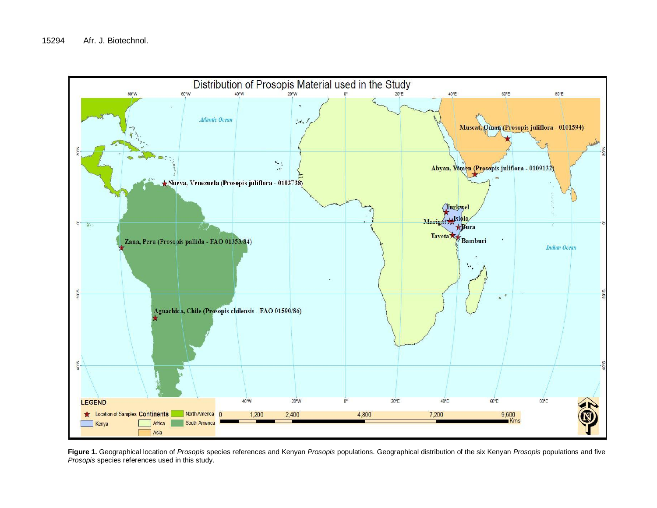

**Figure 1.** Geographical location of *Prosopis* species references and Kenyan *Prosopis* populations. Geographical distribution of the six Kenyan *Prosopis* populations and five *Prosopis* species references used in this study.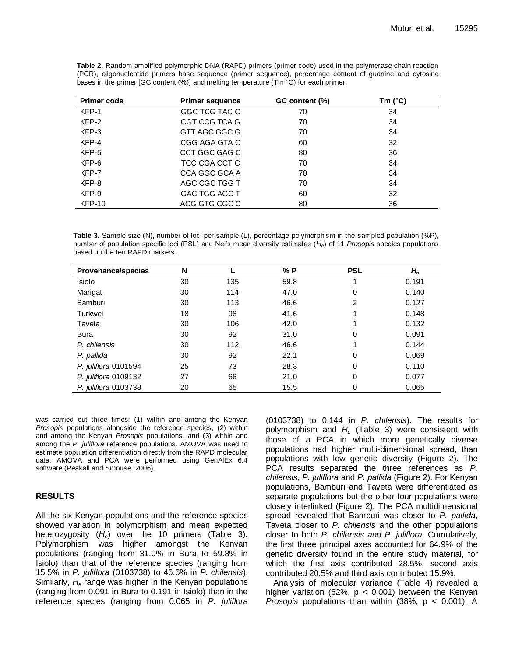| <b>Primer code</b> | <b>Primer sequence</b> | GC content (%) | Tm $(^{\circ}C)$ |
|--------------------|------------------------|----------------|------------------|
| KFP-1              | GGC TCG TAC C          | 70             | 34               |
| KFP-2              | CGT CCG TCA G          | 70             | 34               |
| KFP-3              | GTT AGC GGC G          | 70             | 34               |
| KFP-4              | CGG AGA GTA C          | 60             | 32               |
| KFP-5              | CCT GGC GAG C          | 80             | 36               |
| KFP-6              | TCC CGA CCT C          | 70             | 34               |
| KFP-7              | CCA GGC GCA A          | 70             | 34               |
| KFP-8              | AGC CGC TGG T          | 70             | 34               |
| KFP-9              | GAC TGG AGC T          | 60             | 32               |
| <b>KFP-10</b>      | ACG GTG CGC C          | 80             | 36               |

**Table 2.** Random amplified polymorphic DNA (RAPD) primers (primer code) used in the polymerase chain reaction (PCR), oligonucleotide primers base sequence (primer sequence), percentage content of guanine and cytosine bases in the primer [GC content (%)] and melting temperature (Tm °C) for each primer.

**Table 3.** Sample size (N), number of loci per sample (L), percentage polymorphism in the sampled population (%P), number of population specific loci (PSL) and Nei's mean diversity estimates (*He*) of 11 *Prosopis* species populations based on the ten RAPD markers.

| <b>Provenance/species</b> | N  |     | % P  | <b>PSL</b> | $H_{\rm e}$ |
|---------------------------|----|-----|------|------------|-------------|
| Isiolo                    | 30 | 135 | 59.8 |            | 0.191       |
| Marigat                   | 30 | 114 | 47.0 | 0          | 0.140       |
| Bamburi                   | 30 | 113 | 46.6 | 2          | 0.127       |
| Turkwel                   | 18 | 98  | 41.6 |            | 0.148       |
| Taveta                    | 30 | 106 | 42.0 |            | 0.132       |
| Bura                      | 30 | 92  | 31.0 | 0          | 0.091       |
| P. chilensis              | 30 | 112 | 46.6 |            | 0.144       |
| P. pallida                | 30 | 92  | 22.1 | 0          | 0.069       |
| P. juliflora 0101594      | 25 | 73  | 28.3 | 0          | 0.110       |
| P. juliflora 0109132      | 27 | 66  | 21.0 | 0          | 0.077       |
| P. juliflora 0103738      | 20 | 65  | 15.5 | 0          | 0.065       |

was carried out three times; (1) within and among the Kenyan *Prosopis* populations alongside the reference species, (2) within and among the Kenyan *Prosopis* populations, and (3) within and among the *P. juliflora* reference populations. AMOVA was used to estimate population differentiation directly from the RAPD molecular data. AMOVA and PCA were performed using GenAlEx 6.4 software (Peakall and Smouse, 2006).

## **RESULTS**

All the six Kenyan populations and the reference species showed variation in polymorphism and mean expected heterozygosity (*He*) over the 10 primers (Table 3). Polymorphism was higher amongst the Kenyan populations (ranging from 31.0% in Bura to 59.8% in Isiolo) than that of the reference species (ranging from 15.5% in *P. juliflora* (0103738) to 46.6% in *P. chilensis*). Similarly, *H<sup>e</sup>* range was higher in the Kenyan populations (ranging from 0.091 in Bura to 0.191 in Isiolo) than in the reference species (ranging from 0.065 in *P. juliflora*  (0103738) to 0.144 in *P. chilensis*). The results for polymorphism and *H<sup>e</sup>* (Table 3) were consistent with those of a PCA in which more genetically diverse populations had higher multi-dimensional spread, than populations with low genetic diversity (Figure 2). The PCA results separated the three references as *P. chilensis, P. juliflora* and *P. pallida* (Figure 2). For Kenyan populations, Bamburi and Taveta were differentiated as separate populations but the other four populations were closely interlinked (Figure 2). The PCA multidimensional spread revealed that Bamburi was closer to *P. pallida*, Taveta closer to *P. chilensis* and the other populations closer to both *P. chilensis and P. juliflora*. Cumulatively, the first three principal axes accounted for 64.9% of the genetic diversity found in the entire study material, for which the first axis contributed 28.5%, second axis contributed 20.5% and third axis contributed 15.9%.

Analysis of molecular variance (Table 4) revealed a higher variation (62%,  $p < 0.001$ ) between the Kenyan *Prosopis* populations than within (38%, p < 0.001). A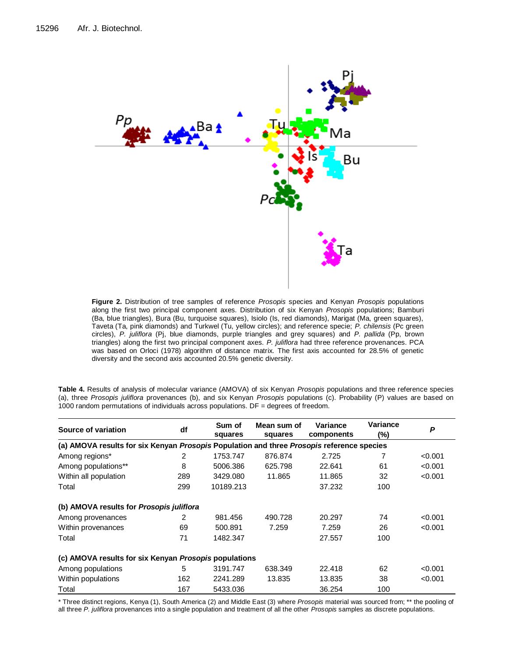

**Figure 2.** Distribution of tree samples of reference *Prosopis* species and Kenyan *Prosopis* populations along the first two principal component axes. Distribution of six Kenyan *Prosopis* populations; Bamburi (Ba, blue triangles), Bura (Bu, turquoise squares), Isiolo (Is, red diamonds), Marigat (Ma, green squares), Taveta (Ta, pink diamonds) and Turkwel (Tu, yellow circles); and reference specie; *P. chilensis* (Pc green circles), *P. juliflora* (Pj, blue diamonds, purple triangles and grey squares) and *P. pallida* (Pp, brown triangles) along the first two principal component axes. *P. juliflora* had three reference provenances. PCA was based on Orloci (1978) algorithm of distance matrix. The first axis accounted for 28.5% of genetic diversity and the second axis accounted 20.5% genetic diversity.

| Source of variation                                                                       | df  | Mean sum of<br>Sum of<br>squares<br>squares |         | Variance<br>components | Variance<br>(%) | P       |  |  |
|-------------------------------------------------------------------------------------------|-----|---------------------------------------------|---------|------------------------|-----------------|---------|--|--|
| (a) AMOVA results for six Kenyan Prosopis Population and three Prosopis reference species |     |                                             |         |                        |                 |         |  |  |
| Among regions*                                                                            | 2   | 1753.747                                    | 876.874 | 2.725                  |                 | < 0.001 |  |  |
| Among populations**                                                                       | 8   | 5006.386                                    | 625.798 | 22.641                 | 61              | < 0.001 |  |  |
| Within all population                                                                     | 289 | 3429.080                                    | 11.865  | 11.865                 | 32              | < 0.001 |  |  |
| Total                                                                                     | 299 | 10189.213                                   |         | 37.232                 | 100             |         |  |  |
| (b) AMOVA results for Prosopis juliflora                                                  |     |                                             |         |                        |                 |         |  |  |
| Among provenances                                                                         | 2   | 981.456                                     | 490.728 | 20.297                 | 74              | < 0.001 |  |  |
| Within provenances                                                                        | 69  | 500.891                                     | 7.259   | 7.259                  | 26              | < 0.001 |  |  |
| Total                                                                                     | 71  | 1482.347                                    |         | 27.557                 | 100             |         |  |  |
| (c) AMOVA results for six Kenyan Prosopis populations                                     |     |                                             |         |                        |                 |         |  |  |
| Among populations                                                                         | 5   | 3191.747                                    | 638.349 | 22.418                 | 62              | < 0.001 |  |  |
| Within populations                                                                        | 162 | 2241.289                                    | 13.835  | 13.835                 | 38              | < 0.001 |  |  |
| Total                                                                                     | 167 | 5433.036                                    |         | 36.254                 | 100             |         |  |  |

**Table 4.** Results of analysis of molecular variance (AMOVA) of six Kenyan *Prosopis* populations and three reference species (a), three *Prosopis juliflora* provenances (b), and six Kenyan *Prosopis* populations (c). Probability (P) values are based on 1000 random permutations of individuals across populations. DF = degrees of freedom.

\* Three distinct regions, Kenya (1), South America (2) and Middle East (3) where *Prosopis* material was sourced from; \*\* the pooling of all three *P. juliflora* provenances into a single population and treatment of all the other *Prosopis* samples as discrete populations.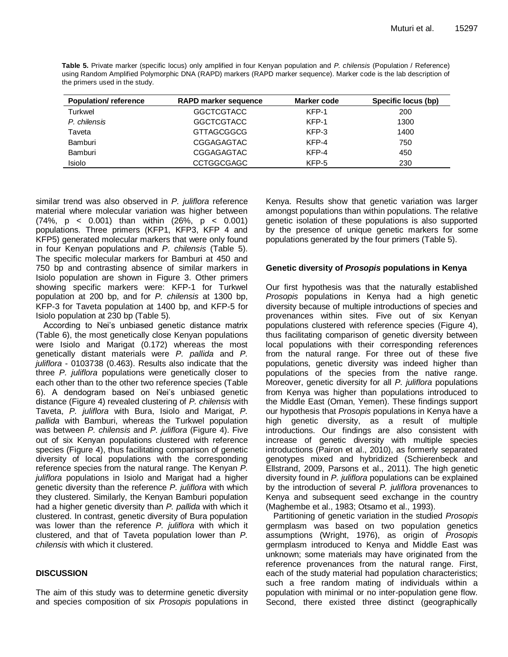**Table 5.** Private marker (specific locus) only amplified in four Kenyan population and *P. chilensis* (Population / Reference) using Random Amplified Polymorphic DNA (RAPD) markers (RAPD marker sequence). Marker code is the lab description of the primers used in the study.

| <b>Population/reference</b> | <b>RAPD marker sequence</b> | Marker code |      |
|-----------------------------|-----------------------------|-------------|------|
| Turkwel                     | <b>GGCTCGTACC</b>           | KFP-1       | 200  |
| P. chilensis                | <b>GGCTCGTACC</b>           | KFP-1       | 1300 |
| Taveta                      | <b>GTTAGCGGCG</b>           | KFP-3       | 1400 |
| Bamburi                     | CGGAGAGTAC                  | KFP-4       | 750  |
| Bamburi                     | CGGAGAGTAC                  | KFP-4       | 450  |
| Isiolo                      | <b>CCTGGCGAGC</b>           | KFP-5       | 230  |

similar trend was also observed in *P. juliflora* reference material where molecular variation was higher between (74%, p < 0.001) than within (26%, p < 0.001) populations. Three primers (KFP1, KFP3, KFP 4 and KFP5) generated molecular markers that were only found in four Kenyan populations and *P*. *chilensis* (Table 5). The specific molecular markers for Bamburi at 450 and 750 bp and contrasting absence of similar markers in Isiolo population are shown in Figure 3. Other primers showing specific markers were: KFP-1 for Turkwel population at 200 bp, and for *P. chilensis* at 1300 bp, KFP-3 for Taveta population at 1400 bp, and KFP-5 for Isiolo population at 230 bp (Table 5).

According to Nei's unbiased genetic distance matrix (Table 6), the most genetically close Kenyan populations were Isiolo and Marigat (0.172) whereas the most genetically distant materials were *P. pallida* and *P. juliflora* - 0103738 (0.463). Results also indicate that the three *P. juliflora* populations were genetically closer to each other than to the other two reference species (Table 6). A dendogram based on Nei's unbiased genetic distance (Figure 4) revealed clustering of *P. chilensis* with Taveta, *P. juliflora* with Bura, Isiolo and Marigat, *P. pallida* with Bamburi, whereas the Turkwel population was between *P. chilensis* and *P. juliflora* (Figure 4). Five out of six Kenyan populations clustered with reference species (Figure 4), thus facilitating comparison of genetic diversity of local populations with the corresponding reference species from the natural range. The Kenyan *P. juliflora* populations in Isiolo and Marigat had a higher genetic diversity than the reference *P. juliflora* with which they clustered. Similarly, the Kenyan Bamburi population had a higher genetic diversity than *P. pallida* with which it clustered. In contrast, genetic diversity of Bura population was lower than the reference *P. juliflora* with which it clustered, and that of Taveta population lower than *P. chilensis* with which it clustered.

# **DISCUSSION**

The aim of this study was to determine genetic diversity and species composition of six *Prosopis* populations in Kenya. Results show that genetic variation was larger amongst populations than within populations. The relative genetic isolation of these populations is also supported by the presence of unique genetic markers for some populations generated by the four primers (Table 5).

## **Genetic diversity of** *Prosopis* **populations in Kenya**

Our first hypothesis was that the naturally established *Prosopis* populations in Kenya had a high genetic diversity because of multiple introductions of species and provenances within sites. Five out of six Kenyan populations clustered with reference species (Figure 4), thus facilitating comparison of genetic diversity between local populations with their corresponding references from the natural range. For three out of these five populations, genetic diversity was indeed higher than populations of the species from the native range. Moreover, genetic diversity for all *P. juliflora* populations from Kenya was higher than populations introduced to the Middle East (Oman, Yemen). These findings support our hypothesis that *Prosopis* populations in Kenya have a high genetic diversity, as a result of multiple introductions. Our findings are also consistent with increase of genetic diversity with multiple species introductions (Pairon et al., 2010), as formerly separated genotypes mixed and hybridized (Schierenbeck and Ellstrand, 2009, Parsons et al., 2011). The high genetic diversity found in *P. juliflora* populations can be explained by the introduction of several *P. juliflora* provenances to Kenya and subsequent seed exchange in the country (Maghembe et al., 1983; Otsamo et al., 1993).

Partitioning of genetic variation in the studied *Prosopis* germplasm was based on two population genetics assumptions (Wright, 1976), as origin of *Prosopis* germplasm introduced to Kenya and Middle East was unknown; some materials may have originated from the reference provenances from the natural range. First, each of the study material had population characteristics; such a free random mating of individuals within a population with minimal or no inter-population gene flow. Second, there existed three distinct (geographically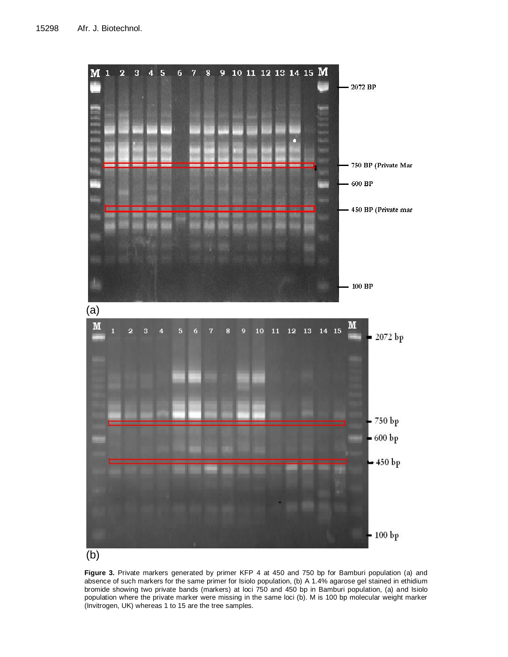

**Figure 3.** Private markers generated by primer KFP 4 at 450 and 750 bp for Bamburi population (a) and absence of such markers for the same primer for Isiolo population, (b) A 1.4% agarose gel stained in ethidium bromide showing two private bands (markers) at loci 750 and 450 bp in Bamburi population, (a) and Isiolo population where the private marker were missing in the same loci (b). M is 100 bp molecular weight marker (Invitrogen, UK) whereas 1 to 15 are the tree samples.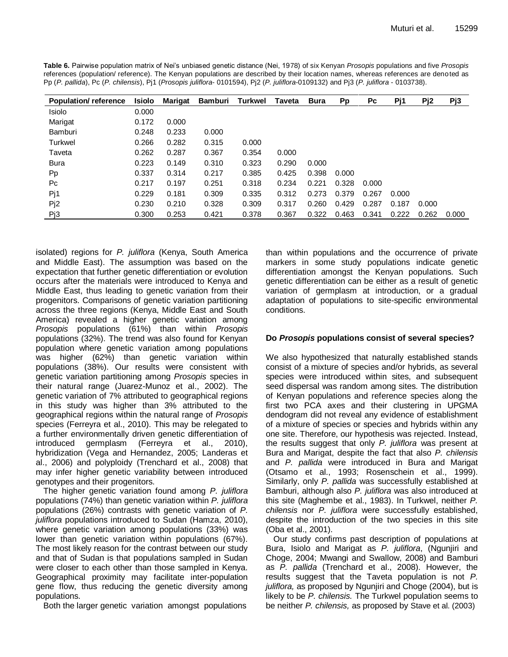| <b>Population/reference</b> | <b>Isiolo</b> | <b>Marigat</b> | <b>Bamburi</b> | Turkwel | <b>Taveta</b> | <b>Bura</b> | Pp    | Pc    | Pj1   | Pj2   | Pj3   |
|-----------------------------|---------------|----------------|----------------|---------|---------------|-------------|-------|-------|-------|-------|-------|
| Isiolo                      | 0.000         |                |                |         |               |             |       |       |       |       |       |
| Marigat                     | 0.172         | 0.000          |                |         |               |             |       |       |       |       |       |
| Bamburi                     | 0.248         | 0.233          | 0.000          |         |               |             |       |       |       |       |       |
| <b>Turkwel</b>              | 0.266         | 0.282          | 0.315          | 0.000   |               |             |       |       |       |       |       |
| Taveta                      | 0.262         | 0.287          | 0.367          | 0.354   | 0.000         |             |       |       |       |       |       |
| Bura                        | 0.223         | 0.149          | 0.310          | 0.323   | 0.290         | 0.000       |       |       |       |       |       |
| <b>Pp</b>                   | 0.337         | 0.314          | 0.217          | 0.385   | 0.425         | 0.398       | 0.000 |       |       |       |       |
| Pc                          | 0.217         | 0.197          | 0.251          | 0.318   | 0.234         | 0.221       | 0.328 | 0.000 |       |       |       |
| Pj1                         | 0.229         | 0.181          | 0.309          | 0.335   | 0.312         | 0.273       | 0.379 | 0.267 | 0.000 |       |       |
| Pj2                         | 0.230         | 0.210          | 0.328          | 0.309   | 0.317         | 0.260       | 0.429 | 0.287 | 0.187 | 0.000 |       |
| Pj3                         | 0.300         | 0.253          | 0.421          | 0.378   | 0.367         | 0.322       | 0.463 | 0.341 | 0.222 | 0.262 | 0.000 |

**Table 6.** Pairwise population matrix of Nei's unbiased genetic distance (Nei, 1978) of six Kenyan *Prosopis* populations and five *Prosopis* references (population/ reference). The Kenyan populations are described by their location names, whereas references are denoted as Pp (*P. pallida*), Pc (*P. chilensis*), Pj1 (*Prosopis juliflora-* 0101594), Pj2 (*P. juliflora*-0109132) and Pj3 (*P. juliflora* - 0103738).

isolated) regions for *P. juliflora* (Kenya, South America and Middle East). The assumption was based on the expectation that further genetic differentiation or evolution occurs after the materials were introduced to Kenya and Middle East, thus leading to genetic variation from their progenitors. Comparisons of genetic variation partitioning across the three regions (Kenya, Middle East and South America) revealed a higher genetic variation among *Prosopis* populations (61%) than within *Prosopis* populations (32%). The trend was also found for Kenyan population where genetic variation among populations was higher (62%) than genetic variation within populations (38%). Our results were consistent with genetic variation partitioning among *Prosopis* species in their natural range (Juarez-Munoz et al., 2002). The genetic variation of 7% attributed to geographical regions in this study was higher than 3% attributed to the geographical regions within the natural range of *Prosopis* species (Ferreyra et al., 2010). This may be relegated to a further environmentally driven genetic differentiation of introduced germplasm (Ferreyra et al., 2010), hybridization (Vega and Hernandez, 2005; Landeras et al., 2006) and polyploidy (Trenchard et al., 2008) that may infer higher genetic variability between introduced genotypes and their progenitors.

The higher genetic variation found among *P. juliflora* populations (74%) than genetic variation within *P. juliflora* populations (26%) contrasts with genetic variation of *P. juliflora* populations introduced to Sudan (Hamza, 2010), where genetic variation among populations (33%) was lower than genetic variation within populations (67%). The most likely reason for the contrast between our study and that of Sudan is that populations sampled in Sudan were closer to each other than those sampled in Kenya. Geographical proximity may facilitate inter-population gene flow, thus reducing the genetic diversity among populations.

Both the larger genetic variation amongst populations

than within populations and the occurrence of private markers in some study populations indicate genetic differentiation amongst the Kenyan populations. Such genetic differentiation can be either as a result of genetic variation of germplasm at introduction, or a gradual adaptation of populations to site-specific environmental conditions.

# **Do** *Prosopis* **populations consist of several species?**

We also hypothesized that naturally established stands consist of a mixture of species and/or hybrids, as several species were introduced within sites, and subsequent seed dispersal was random among sites. The distribution of Kenyan populations and reference species along the first two PCA axes and their clustering in UPGMA dendogram did not reveal any evidence of establishment of a mixture of species or species and hybrids within any one site. Therefore, our hypothesis was rejected. Instead, the results suggest that only *P. juliflora* was present at Bura and Marigat, despite the fact that also *P. chilensis*  and *P. pallida* were introduced in Bura and Marigat (Otsamo et al., 1993; Rosenschein et al., 1999). Similarly, only *P. pallida* was successfully established at Bamburi, although also *P. juliflora* was also introduced at this site (Maghembe et al., 1983). In Turkwel, neither *P. chilensis* nor *P. juliflora* were successfully established, despite the introduction of the two species in this site (Oba et al., 2001).

Our study confirms past description of populations at Bura, Isiolo and Marigat as *P. juliflora*, (Ngunjiri and Choge, 2004; Mwangi and Swallow, 2008) and Bamburi as *P. pallida* (Trenchard et al., 2008). However, the results suggest that the Taveta population is not *P. juliflora,* as proposed by Ngunjiri and Choge (2004), but is likely to be *P. chilensis.* The Turkwel population seems to be neither *P. chilensis,* as proposed by Stave et al. (2003)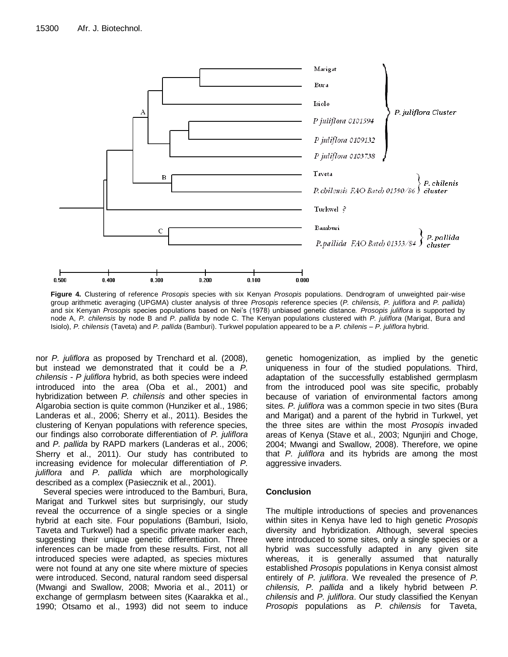

**Figure 4.** Clustering of reference *Prosopis* species with six Kenyan *Prosopis* populations. Dendrogram of unweighted pair-wise group arithmetic averaging (UPGMA) cluster analysis of three *Prosopis* reference species (*P. chilensis, P. juliflora* and *P. pallida*) and six Kenyan *Prosopis* species populations based on Nei's (1978) unbiased genetic distance. *Prosopis juliflora* is supported by node A, *P. chilensis* by node B and *P. pallida* by node C. The Kenyan populations clustered with *P. juliflora* (Marigat, Bura and Isiolo), *P. chilensis* (Taveta) and *P. pallida* (Bamburi). Turkwel population appeared to be a *P. chilenis – P. juliflora* hybrid.

nor *P. juliflora* as proposed by Trenchard et al. (2008), but instead we demonstrated that it could be a *P. chilensis* - *P juliflora* hybrid, as both species were indeed introduced into the area (Oba et al., 2001) and hybridization between *P. chilensis* and other species in Algarobia section is quite common (Hunziker et al., 1986; Landeras et al., 2006; Sherry et al., 2011). Besides the clustering of Kenyan populations with reference species, our findings also corroborate differentiation of *P. juliflora* and *P. pallida* by RAPD markers (Landeras et al., 2006; Sherry et al., 2011). Our study has contributed to increasing evidence for molecular differentiation of *P. juliflora* and *P. pallida* which are morphologically described as a complex (Pasiecznik et al., 2001).

Several species were introduced to the Bamburi, Bura, Marigat and Turkwel sites but surprisingly, our study reveal the occurrence of a single species or a single hybrid at each site. Four populations (Bamburi, Isiolo, Taveta and Turkwel) had a specific private marker each, suggesting their unique genetic differentiation. Three inferences can be made from these results. First, not all introduced species were adapted, as species mixtures were not found at any one site where mixture of species were introduced. Second, natural random seed dispersal (Mwangi and Swallow, 2008; Mworia et al., 2011) or exchange of germplasm between sites (Kaarakka et al., 1990; Otsamo et al., 1993) did not seem to induce

genetic homogenization, as implied by the genetic uniqueness in four of the studied populations. Third, adaptation of the successfully established germplasm from the introduced pool was site specific, probably because of variation of environmental factors among sites. *P. juliflora* was a common specie in two sites (Bura and Marigat) and a parent of the hybrid in Turkwel, yet the three sites are within the most *Prosopis* invaded areas of Kenya (Stave et al., 2003; Ngunjiri and Choge, 2004; Mwangi and Swallow, 2008). Therefore, we opine that *P. juliflora* and its hybrids are among the most aggressive invaders.

## **Conclusion**

The multiple introductions of species and provenances within sites in Kenya have led to high genetic *Prosopis* diversity and hybridization. Although, several species were introduced to some sites, only a single species or a hybrid was successfully adapted in any given site whereas, it is generally assumed that naturally established *Prosopis* populations in Kenya consist almost entirely of *P. juliflora*. We revealed the presence of *P. chilensis, P. pallida* and a likely hybrid between *P. chilensis* and *P. juliflora*. Our study classified the Kenyan *Prosopis* populations as *P. chilensis* for Taveta,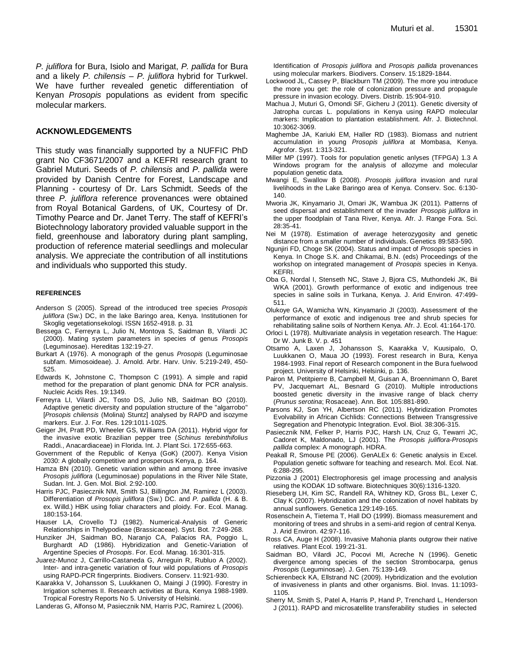*P. juliflora* for Bura, Isiolo and Marigat, *P. pallida* for Bura and a likely *P. chilensis – P. juliflora* hybrid for Turkwel. We have further revealed genetic differentiation of Kenyan *Prosopis* populations as evident from specific molecular markers.

## **ACKNOWLEDGEMENTS**

This study was financially supported by a NUFFIC PhD grant No CF3671/2007 and a KEFRI research grant to Gabriel Muturi. Seeds of *P. chilensis* and *P. pallida* were provided by Danish Centre for Forest, Landscape and Planning - courtesy of Dr. Lars Schmidt. Seeds of the three *P. juliflora* reference provenances were obtained from Royal Botanical Gardens, of UK, Courtesy of Dr. Timothy Pearce and Dr. Janet Terry. The staff of KEFRI's Biotechnology laboratory provided valuable support in the field, greenhouse and laboratory during plant sampling, production of reference material seedlings and molecular analysis. We appreciate the contribution of all institutions and individuals who supported this study.

#### **REFERENCES**

- Anderson S (2005). Spread of the introduced tree species *Prosopis juliflora* (Sw.) DC, in the lake Baringo area, Kenya. Institutionen for Skoglig vegetationsekologi. ISSN 1652-4918. p. 31
- Bessega C, Ferreyra L, Julio N, Montoya S, Saidman B, Vilardi JC (2000). Mating system parameters in species of genus *Prosopis* (Leguminosae). Hereditas 132:19-27.
- Burkart A (1976). A monograph of the genus *Prosopis* (Leguminosae subfam. Mimosoideae). J. Arnold. Arbr. Harv. Univ. 5:219-249, 450- 525.
- Edwards K, Johnstone C, Thompson C (1991). A simple and rapid method for the preparation of plant genomic DNA for PCR analysis. Nucleic Acids Res. 19:1349.
- Ferreyra LI, Vilardi JC, Tosto DS, Julio NB, Saidman BO (2010). Adaptive genetic diversity and population structure of the "algarrobo" [*Prosopis chilensis* (Molina) Stuntz] analysed by RAPD and isozyme markers. Eur. J. For. Res. 129:1011-1025.
- Geiger JH, Pratt PD, Wheeler GS, Williams DA (2011). Hybrid vigor for the invasive exotic Brazilian pepper tree (*Schinus terebinthifolius* Raddi., Anacardiaceae) in Florida. Int. J. Plant Sci. 172:655-663.
- Government of the Republic of Kenya (GoK) (2007). Kenya Vision 2030: A globally competitive and prosperous Kenya, p. 164.
- Hamza BN (2010). Genetic variation within and among three invasive *Prosopis juliflora* (Leguminosae) populations in the River Nile State, Sudan. Int. J. Gen. Mol. Biol. 2:92-100.
- Harris PJC, Pasiecznik NM, Smith SJ, Billington JM, Ramirez L (2003). Differentiation of *Prosopis juliflora* (Sw.) DC. and *P. pallida* (H. & B. ex. Willd.) HBK using foliar characters and ploidy. For. Ecol. Manag. 180:153-164.
- Hauser LA, Crovello TJ (1982). Numerical-Analysis of Generic Relationships in Thelypodieae (Brassicaceae). Syst. Bot. 7:249-268.
- Hunziker JH, Saidman BO, Naranjo CA, Palacios RA, Poggio L, Burghardt AD (1986). Hybridization and Genetic-Variation of Argentine Species of *Prosopis*. For. Ecol. Manag. 16:301-315.
- Juarez-Munoz J, Carrillo-Castaneda G, Arreguin R, Rubluo A (2002). Inter- and intra-genetic variation of four wild populations of *Prosopis* using RAPD-PCR fingerprints. Biodivers. Conserv. 11:921-930.
- Kaarakka V, Johansson S, Luukkanen O, Maingi J (1990). Forestry in Irrigation schemes II. Research activities at Bura, Kenya 1988-1989. Tropical Forestry Reports No 5. University of Helsinki.
- Landeras G, Alfonso M, Pasiecznik NM, Harris PJC, Ramirez L (2006).

Identification of *Prosopis juliflora* and *Prosopis pallida* provenances using molecular markers. Biodivers. Conserv. 15:1829-1844.

- Lockwood JL, Cassey P, Blackburn TM (2009). The more you introduce the more you get: the role of colonization pressure and propagule pressure in invasion ecology. Divers. Distrib. 15:904-910.
- Machua J, Muturi G, Omondi SF, Gicheru J (2011). Genetic diversity of Jatropha curcas L. populations in Kenya using RAPD molecular markers: Implication to plantation establishment. Afr. J. Biotechnol. 10:3062-3069.
- Maghembe JA, Kariuki EM, Haller RD (1983). Biomass and nutrient accumulation in young *Prosopis juliflora* at Mombasa, Kenya. Agrofor. Syst. 1:313-321.
- Miller MP (1997). Tools for population genetic anlyses (TFPGA) 1.3 A Windows program for the analysis of allozyme and molecular population genetic data.
- Mwangi E, Swallow B (2008). *Prosopis juliflora* invasion and rural livelihoods in the Lake Baringo area of Kenya. Conserv. Soc. 6:130- 140.
- Mworia JK, Kinyamario JI, Omari JK, Wambua JK (2011). Patterns of seed dispersal and establishment of the invader *Prosopis juliflora* in the upper floodplain of Tana River, Kenya. Afr. J. Range Fora. Sci. 28:35-41.
- Nei M (1978). Estimation of average heterozygosity and genetic distance from a smaller number of individuals. Genetics 89:583-590.
- Ngunjiri FD, Choge SK (2004). Status and impact of *Prosopis* species in Kenya. In Choge S.K. and Chikamai, B.N. (eds) Proceedings of the workshop on integrated management of *Prosopis* species in Kenya. KEFRI.
- Oba G, Nordal I, Stenseth NC, Stave J, Bjora CS, Muthondeki JK, Bii WKA (2001). Growth performance of exotic and indigenous tree species in saline soils in Turkana, Kenya. J. Arid Environ. 47:499- 511.
- Olukoye GA, Wamicha WN, Kinyamario JI (2003). Assessment of the performance of exotic and indigenous tree and shrub species for rehabilitating saline soils of Northern Kenya. Afr. J. Ecol. 41:164-170.
- Orloci L (1978). Multivariate analysis in vegetation research. The Hague: Dr W. Junk B. V. p. 451
- Otsamo A, Laxen J, Johansson S, Kaarakka V, Kuusipalo, O, Luukkanen O, Maua JO (1993). Forest research in Bura, Kenya 1984-1993. Final report of Research component in the Bura fuelwood project. University of Helsinki, Helsinki, p. 136.
- Pairon M, Petitpierre B, Campbell M, Guisan A, Broennimann O, Baret PV, Jacquemart AL, Besnard G (2010). Multiple introductions boosted genetic diversity in the invasive range of black cherry (*Prunus serotina*; Rosaceae). Ann. Bot. 105:881-890.
- Parsons KJ, Son YH, Albertson RC (2011). Hybridization Promotes Evolvability in African Cichlids: Connections Between Transgressive Segregation and Phenotypic Integration. Evol. Biol. 38:306-315.
- Pasiecznik NM, Felker P, Harris PJC, Harsh LN, Cruz G, Tewarri JC, Cadoret K, Maldonado, LJ (2001). The *Prosopis juliflora*-*Prosopis pallida* complex: A monograph. HDRA.
- Peakall R, Smouse PE (2006). GenALEx 6: Genetic analysis in Excel. Population genetic software for teaching and research. Mol. Ecol. Nat. 6:288-295.
- Pizzonia J (2001) Electrophoresis gel image processing and analysis using the KODAK 1D software. Biotechniques 30(6):1316-1320.
- Rieseberg LH, Kim SC, Randell RA, Whitney KD, Gross BL, Lexer C, Clay K (2007). Hybridization and the colonization of novel habitats by annual sunflowers. Genetica 129:149-165.
- Rosenschein A, Tietema T, Hall DO (1999). Biomass measurement and monitoring of trees and shrubs in a semi-arid region of central Kenya. J. Arid Environ. 42:97-116.
- Ross CA, Auge H (2008). Invasive Mahonia plants outgrow their native relatives. Plant Ecol. 199:21-31.
- Saidman BO, Vilardi JC, Pocovi MI, Acreche N (1996). Genetic divergence among species of the section Strombocarpa, genus *Prosopis* (Leguminosae). J. Gen. 75:139-149.
- Schierenbeck KA, Ellstrand NC (2009). Hybridization and the evolution of invasiveness in plants and other organisms. Biol. Invas. 11:1093- 1105.
- Sherry M, Smith S, Patel A, Harris P, Hand P, Trenchard L, Henderson J (2011). RAPD and microsatellite transferability studies in selected